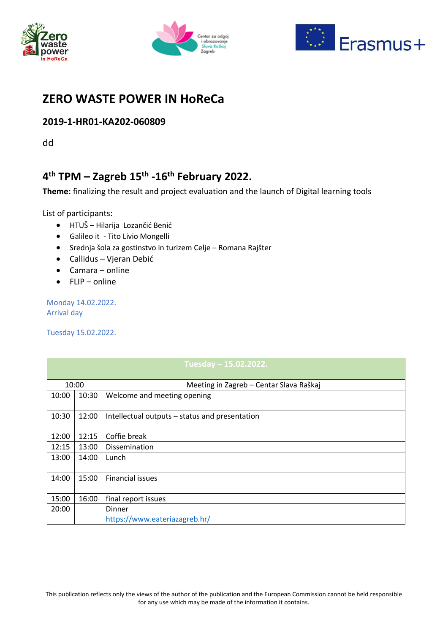





## **ZERO WASTE POWER IN HoReCa**

### **2019-1-HR01-KA202-060809**

dd

# **4 th TPM – Zagreb 15th -16th February 2022.**

**Theme:** finalizing the result and project evaluation and the launch of Digital learning tools

List of participants:

- HTUŠ Hilarija Lozančić Benić
- Galileo it Tito Livio Mongelli
- Srednja šola za gostinstvo in turizem Celje Romana Rajšter
- Callidus Vjeran Debić
- Camara online
- FLIP online

Monday 14.02.2022. Arrival day

Tuesday 15.02.2022.

| Tuesday – 15.02.2022. |       |                                                |  |
|-----------------------|-------|------------------------------------------------|--|
| 10:00                 |       | Meeting in Zagreb - Centar Slava Raškaj        |  |
| 10:00                 | 10:30 | Welcome and meeting opening                    |  |
| 10:30                 | 12:00 | Intellectual outputs – status and presentation |  |
| 12:00                 | 12:15 | Coffie break                                   |  |
| 12:15                 | 13:00 | Dissemination                                  |  |
| 13:00                 | 14:00 | Lunch                                          |  |
| 14:00                 | 15:00 | <b>Financial issues</b>                        |  |
| 15:00                 | 16:00 | final report issues                            |  |
| 20:00                 |       | Dinner                                         |  |
|                       |       | https://www.eateriazagreb.hr/                  |  |